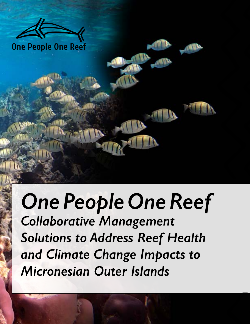

### *One People One Reef*

*Collaborative Management Solutions to Address Reef Health and Climate Change Impacts to Micronesian Outer Islands*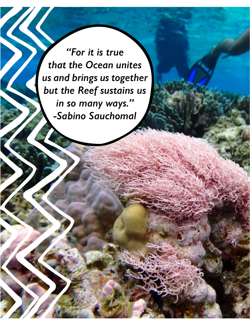*"For it is true*  **that the Ocean unites** *us and brings us together but the Reef sustains us in so many ways." -Sabino Sauchomal*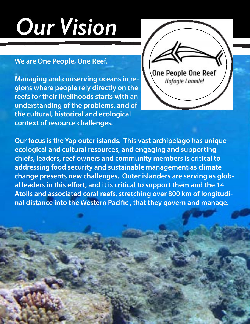## *Our Vision*

### **We are One People, One Reef.**

**Managing and conserving oceans in regions where people rely directly on the reefs for their livelihoods starts with an understanding of the problems, and of the cultural, historical and ecological context of resource challenges.** 

**One People One Reef** Hofagie Laamle!

**Our focus is the Yap outer islands. This vast archipelago has unique ecological and cultural resources, and engaging and supporting chiefs, leaders, reef owners and community members is critical to addressing food security and sustainable management as climate change presents new challenges. Outer islanders are serving as global leaders in this effort, and it is critical to support them and the 14 Atolls and associated coral reefs, stretching over 800 km of longitudinal distance into the Western Pacific , that they govern and manage.**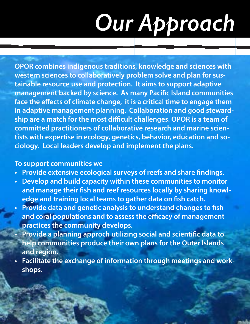# *Our Approach*

**OPOR combines indigenous traditions, knowledge and sciences with western sciences to collaboratively problem solve and plan for sustainable resource use and protection. It aims to support adaptive management backed by science. As many Pacific Island communities face the effects of climate change, it is a critical time to engage them in adaptive management planning. Collaboration and good stewardship are a match for the most difficult challenges. OPOR is a team of committed practitioners of collaborative research and marine scientists with expertise in ecology, genetics, behavior, education and sociology. Local leaders develop and implement the plans.**

### **To support communities we**

- **• Provide extensive ecological surveys of reefs and share findings.**
- **• Develop and build capacity within these communities to monitor and manage their fish and reef resources locally by sharing knowledge and training local teams to gather data on fish catch.**
- **• Provide data and genetic analysis to understand changes to fish and coral populations and to assess the efficacy of management practices the community develops.**
- **• Provide a planning approch utilizing social and scientific data to help communities produce their own plans for the Outer Islands and region.**
- **• Facilitate the exchange of information through meetings and workshops.**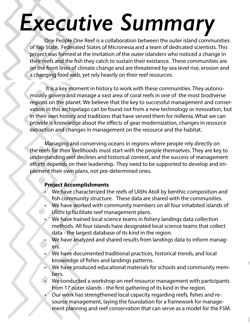## *Executive Summary*

One People One Reef is a collaboration between the outer island communities of Yap State, Federated States of Micronesia and a team of dedicated scientists. This project was formed at the invitation of the outer islanders who noticed a change in their reefs and the fish they catch to sustain their existance. These communities are on the front lines of climate change and are threatened by sea level rise, erosion and a changing food web, yet rely heavily on their reef resources.

 It is a key moment in history to work with these communities. They autonomously govern and manage a vast area of coral reefs in one of the most biodiverse regions on the planet. We believe that the key to successful management and conservation in this archipelago can be found not from a new technology or innovation, but in their own history and traditions that have served them for millenia. What we can provide is knowledge about the effects of gear modernization, changes in resource extraction and changes in management on the resource and the habitat.

Managing and conserving oceans in regions where people rely directly on the reefs for their livelihoods must start with the people themselves. They are key to understanding reef declines and historical context, and the success of management efforts depends on their leadership. They need to be supported to develop and implement their own plans, not pre-determined ones.

#### **Project Accomplishments**

- We have characterized the reefs of Ulithi Atoll by benthic composition and fish community structure. These data are shared with the communities.
- We have worked with community members on all four inhabited islands of Ulithi to facilitate reef management plans.
- We have trained local science teams in fishery landings data collection methods. All four islands have designated local science teams that collect data - the largest database of its kind in the region.
- We have analyzed and shared results from landings data to inform managers.
- We have documented traditional practices, historical trends, and local knowledge of fishes and landings patterns.
- We have produced educational materials for schools and community members.
- We conducted a workshop on reef resource management with participants from 17 outer islands - the first gathering of its kind in the region.
- Our work has strengthened local capacity regarding reefs, fishes and resource management, laying the foundation for a framework for management planning and reef conservation that can serve as a model for the FSM.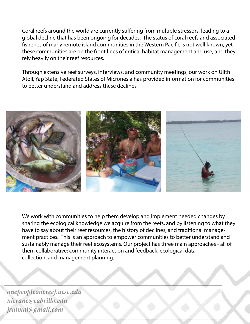Coral reefs around the world are currently suffering from multiple stressors, leading to a global decline that has been ongoing for decades. The status of coral reefs and associated fisheries of many remote island communities in the Western Pacific is not well known, yet these communities are on the front lines of critical habitat management and use, and they rely heavily on their reef resources.

Through extensive reef surveys, interviews, and community meetings, our work on Ulithi Atoll, Yap State, Federated States of Micronesia has provided information for communities to better understand and address these declines



We work with communities to help them develop and implement needed changes by sharing the ecological knowledge we acquire from the reefs, and by listening to what they have to say about their reef resources, the history of declines, and traditional management practices. This is an approach to empower communities to better understand and sustainably manage their reef ecosystems. Our project has three main approaches - all of them collaborative: community interaction and feedback, ecological data collection, and management planning.

*onepeopleonereef.ucsc.edu nicrane@cabrillo.edu jrulmal@gmail.com*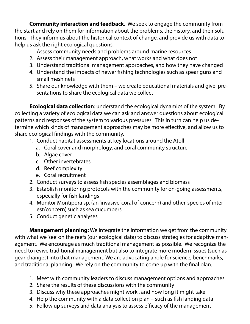**Community interaction and feedback.** We seek to engage the community from the start and rely on them for information about the problems, the history, and their solutions. They inform us about the historical context of change, and provide us with data to help us ask the right ecological questions.

- 1. Assess community needs and problems around marine resources
- 2. Assess their management approach, what works and what does not
- 3. Understand traditional management approaches, and how they have changed
- 4. Understand the impacts of newer fishing technologies such as spear guns and small mesh nets
- 5. Share our knowledge with them we create educational materials and give presentations to share the ecological data we collect

**Ecological data collection**: understand the ecological dynamics of the system. By collecting a variety of ecological data we can ask and answer questions about ecological patterns and responses of the system to various pressures. This in turn can help us determine which kinds of management approaches may be more effective, and allow us to share ecological findings with the community.

- 1. Conduct habitat assessments at key locations around the Atoll
	- a. Coral cover and morphology, and coral community structure
	- b. Algae cover
	- c. Other invertebrates
	- d. Reef complexity
	- e. Coral recruitment
- 2. Conduct surveys to assess fish species assemblages and biomass
- 3. Establish monitoring protocols with the community for on-going assessments, especially for fish landings
- 4. Monitor Montipora sp. (an 'invasive' coral of concern) and other 'species of interest/concern', such as sea cucumbers
- 5. Conduct genetic analyses

**Management planning:** We integrate the information we get from the community with what we 'see' on the reefs (our ecological data) to discuss strategies for adaptive management. We encourage as much traditional management as possible. We recognize the need to revive traditional management but also to integrate more modern issues (such as gear changes) into that management. We are advocating a role for science, benchmarks, and traditional planning. We rely on the community to come up with the final plan.

- 1. Meet with community leaders to discuss management options and approaches
- 2. Share the results of these discussions with the community
- 3. Discuss why these approaches might work , and how long it might take
- 4. Help the community with a data collection plan such as fish landing data
- 5. Follow up surveys and data analysis to assess efficacy of the management